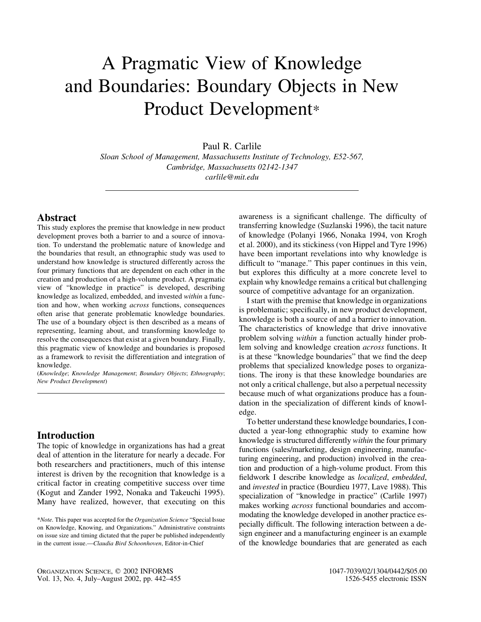# A Pragmatic View of Knowledge and Boundaries: Boundary Objects in New Product Development\*

Paul R. Carlile

*Sloan School of Management, Massachusetts Institute of Technology, E52-567, Cambridge, Massachusetts 02142-1347 carlile@mit.edu*

### **Abstract**

This study explores the premise that knowledge in new product development proves both a barrier to and a source of innovation. To understand the problematic nature of knowledge and the boundaries that result, an ethnographic study was used to understand how knowledge is structured differently across the four primary functions that are dependent on each other in the creation and production of a high-volume product. A pragmatic view of "knowledge in practice" is developed, describing knowledge as localized, embedded, and invested *within* a function and how, when working *across* functions, consequences often arise that generate problematic knowledge boundaries. The use of a boundary object is then described as a means of representing, learning about, and transforming knowledge to resolve the consequences that exist at a given boundary. Finally, this pragmatic view of knowledge and boundaries is proposed as a framework to revisit the differentiation and integration of knowledge.

(*Knowledge*; *Knowledge Management*; *Boundary Objects*; *Ethnography*; *New Product Development*)

## **Introduction**

The topic of knowledge in organizations has had a great deal of attention in the literature for nearly a decade. For both researchers and practitioners, much of this intense interest is driven by the recognition that knowledge is a critical factor in creating competitive success over time (Kogut and Zander 1992, Nonaka and Takeuchi 1995). Many have realized, however, that executing on this awareness is a significant challenge. The difficulty of transferring knowledge (Suzlanski 1996), the tacit nature of knowledge (Polanyi 1966, Nonaka 1994, von Krogh et al. 2000), and its stickiness (von Hippel and Tyre 1996) have been important revelations into why knowledge is difficult to "manage." This paper continues in this vein, but explores this difficulty at a more concrete level to explain why knowledge remains a critical but challenging source of competitive advantage for an organization.

I start with the premise that knowledge in organizations is problematic; specifically, in new product development, knowledge is both a source of and a barrier to innovation. The characteristics of knowledge that drive innovative problem solving *within* a function actually hinder problem solving and knowledge creation *across* functions. It is at these "knowledge boundaries" that we find the deep problems that specialized knowledge poses to organizations. The irony is that these knowledge boundaries are not only a critical challenge, but also a perpetual necessity because much of what organizations produce has a foundation in the specialization of different kinds of knowledge.

To better understand these knowledge boundaries, I conducted a year-long ethnographic study to examine how knowledge is structured differently *within* the four primary functions (sales/marketing, design engineering, manufacturing engineering, and production) involved in the creation and production of a high-volume product. From this fieldwork I describe knowledge as *localized*, *embedded*, and *invested* in practice (Bourdieu 1977, Lave 1988). This specialization of "knowledge in practice" (Carlile 1997) makes working *across* functional boundaries and accommodating the knowledge developed in another practice especially difficult. The following interaction between a design engineer and a manufacturing engineer is an example of the knowledge boundaries that are generated as each

<sup>\*</sup>*Note.* This paper was accepted for the *Organization Science* "Special Issue on Knowledge, Knowing, and Organizations." Administrative constraints on issue size and timing dictated that the paper be published independently in the current issue.—*Claudia Bird Schoonhoven*, Editor-in-Chief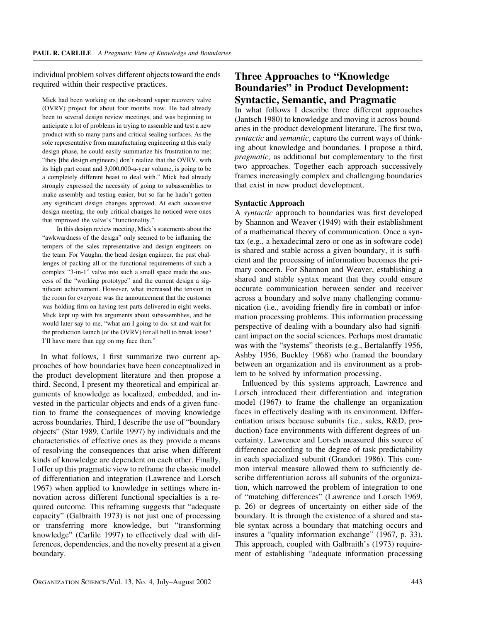individual problem solves different objects toward the ends required within their respective practices.

Mick had been working on the on-board vapor recovery valve (OVRV) project for about four months now. He had already been to several design review meetings, and was beginning to anticipate a lot of problems in trying to assemble and test a new product with so many parts and critical sealing surfaces. As the sole representative from manufacturing engineering at this early design phase, he could easily summarize his frustration to me: "they [the design engineers] don't realize that the OVRV, with its high part count and 3,000,000-a-year volume, is going to be a completely different beast to deal with." Mick had already strongly expressed the necessity of going to subassemblies to make assembly and testing easier, but so far he hadn't gotten any significant design changes approved. At each successive design meeting, the only critical changes he noticed were ones that improved the valve's "functionality."

In this design review meeting, Mick's statements about the "awkwardness of the design" only seemed to be inflaming the tempers of the sales representative and design engineers on the team. For Vaughn, the head design engineer, the past challenges of packing all of the functional requirements of such a complex "3-in-1" valve into such a small space made the success of the "working prototype" and the current design a significant achievement. However, what increased the tension in the room for everyone was the announcement that the customer was holding firm on having test parts delivered in eight weeks. Mick kept up with his arguments about subassemblies, and he would later say to me, "what am I going to do, sit and wait for the production launch (of the OVRV) for all hell to break loose? I'll have more than egg on my face then."

In what follows, I first summarize two current approaches of how boundaries have been conceptualized in the product development literature and then propose a third. Second, I present my theoretical and empirical arguments of knowledge as localized, embedded, and invested in the particular objects and ends of a given function to frame the consequences of moving knowledge across boundaries. Third, I describe the use of "boundary objects" (Star 1989, Carlile 1997) by individuals and the characteristics of effective ones as they provide a means of resolving the consequences that arise when different kinds of knowledge are dependent on each other. Finally, I offer up this pragmatic view to reframe the classic model of differentiation and integration (Lawrence and Lorsch 1967) when applied to knowledge in settings where innovation across different functional specialties is a required outcome. This reframing suggests that "adequate capacity" (Galbraith 1973) is not just one of processing or transferring more knowledge, but "transforming knowledge" (Carlile 1997) to effectively deal with differences, dependencies, and the novelty present at a given boundary.

## **Three Approaches to "Knowledge Boundaries" in Product Development: Syntactic, Semantic, and Pragmatic**

In what follows I describe three different approaches (Jantsch 1980) to knowledge and moving it across boundaries in the product development literature. The first two, *syntactic* and *semantic*, capture the current ways of thinking about knowledge and boundaries. I propose a third, *pragmatic,* as additional but complementary to the first two approaches. Together each approach successively frames increasingly complex and challenging boundaries that exist in new product development.

#### **Syntactic Approach**

A *syntactic* approach to boundaries was first developed by Shannon and Weaver (1949) with their establishment of a mathematical theory of communication. Once a syntax (e.g., a hexadecimal zero or one as in software code) is shared and stable across a given boundary, it is sufficient and the processing of information becomes the primary concern. For Shannon and Weaver, establishing a shared and stable syntax meant that they could ensure accurate communication between sender and receiver across a boundary and solve many challenging communication (i.e., avoiding friendly fire in combat) or information processing problems. This information processing perspective of dealing with a boundary also had significant impact on the social sciences. Perhaps most dramatic was with the "systems" theorists (e.g., Bertalanffy 1956, Ashby 1956, Buckley 1968) who framed the boundary between an organization and its environment as a problem to be solved by information processing.

Influenced by this systems approach, Lawrence and Lorsch introduced their differentiation and integration model (1967) to frame the challenge an organization faces in effectively dealing with its environment. Differentiation arises because subunits (i.e., sales, R&D, production) face environments with different degrees of uncertainty. Lawrence and Lorsch measured this source of difference according to the degree of task predictability in each specialized subunit (Grandori 1986). This common interval measure allowed them to sufficiently describe differentiation across all subunits of the organization, which narrowed the problem of integration to one of "matching differences" (Lawrence and Lorsch 1969, p. 26) or degrees of uncertainty on either side of the boundary. It is through the existence of a shared and stable syntax across a boundary that matching occurs and insures a "quality information exchange" (1967, p. 33). This approach, coupled with Galbraith's (1973) requirement of establishing "adequate information processing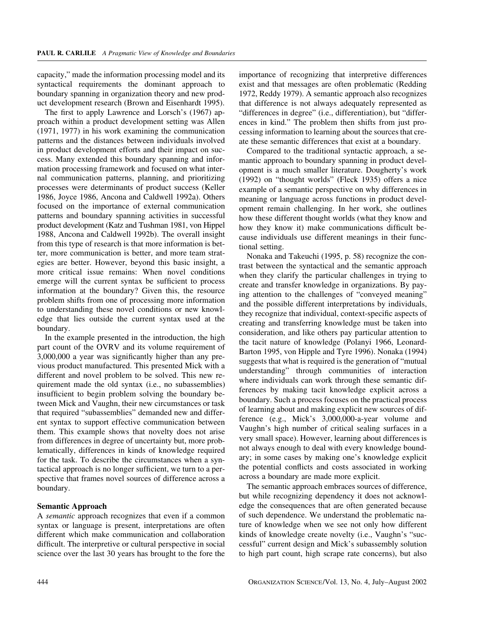capacity," made the information processing model and its syntactical requirements the dominant approach to boundary spanning in organization theory and new product development research (Brown and Eisenhardt 1995).

The first to apply Lawrence and Lorsch's (1967) approach within a product development setting was Allen (1971, 1977) in his work examining the communication patterns and the distances between individuals involved in product development efforts and their impact on success. Many extended this boundary spanning and information processing framework and focused on what internal communication patterns, planning, and prioritizing processes were determinants of product success (Keller 1986, Joyce 1986, Ancona and Caldwell 1992a). Others focused on the importance of external communication patterns and boundary spanning activities in successful product development (Katz and Tushman 1981, von Hippel 1988, Ancona and Caldwell 1992b). The overall insight from this type of research is that more information is better, more communication is better, and more team strategies are better. However, beyond this basic insight, a more critical issue remains: When novel conditions emerge will the current syntax be sufficient to process information at the boundary? Given this, the resource problem shifts from one of processing more information to understanding these novel conditions or new knowledge that lies outside the current syntax used at the boundary.

In the example presented in the introduction, the high part count of the OVRV and its volume requirement of 3,000,000 a year was significantly higher than any previous product manufactured. This presented Mick with a different and novel problem to be solved. This new requirement made the old syntax (i.e., no subassemblies) insufficient to begin problem solving the boundary between Mick and Vaughn, their new circumstances or task that required "subassemblies" demanded new and different syntax to support effective communication between them. This example shows that novelty does not arise from differences in degree of uncertainty but, more problematically, differences in kinds of knowledge required for the task. To describe the circumstances when a syntactical approach is no longer sufficient, we turn to a perspective that frames novel sources of difference across a boundary.

#### **Semantic Approach**

A *semantic* approach recognizes that even if a common syntax or language is present, interpretations are often different which make communication and collaboration difficult. The interpretive or cultural perspective in social science over the last 30 years has brought to the fore the

importance of recognizing that interpretive differences exist and that messages are often problematic (Redding 1972, Reddy 1979). A semantic approach also recognizes that difference is not always adequately represented as "differences in degree" (i.e., differentiation), but "differences in kind." The problem then shifts from just processing information to learning about the sources that create these semantic differences that exist at a boundary.

Compared to the traditional syntactic approach, a semantic approach to boundary spanning in product development is a much smaller literature. Dougherty's work (1992) on "thought worlds" (Fleck 1935) offers a nice example of a semantic perspective on why differences in meaning or language across functions in product development remain challenging. In her work, she outlines how these different thought worlds (what they know and how they know it) make communications difficult because individuals use different meanings in their functional setting.

Nonaka and Takeuchi (1995, p. 58) recognize the contrast between the syntactical and the semantic approach when they clarify the particular challenges in trying to create and transfer knowledge in organizations. By paying attention to the challenges of "conveyed meaning" and the possible different interpretations by individuals, they recognize that individual, context-specific aspects of creating and transferring knowledge must be taken into consideration, and like others pay particular attention to the tacit nature of knowledge (Polanyi 1966, Leonard-Barton 1995, von Hipple and Tyre 1996). Nonaka (1994) suggests that what is required is the generation of "mutual understanding" through communities of interaction where individuals can work through these semantic differences by making tacit knowledge explicit across a boundary. Such a process focuses on the practical process of learning about and making explicit new sources of difference (e.g., Mick's 3,000,000-a-year volume and Vaughn's high number of critical sealing surfaces in a very small space). However, learning about differences is not always enough to deal with every knowledge boundary; in some cases by making one's knowledge explicit the potential conflicts and costs associated in working across a boundary are made more explicit.

The semantic approach embraces sources of difference, but while recognizing dependency it does not acknowledge the consequences that are often generated because of such dependence. We understand the problematic nature of knowledge when we see not only how different kinds of knowledge create novelty (i.e., Vaughn's "successful" current design and Mick's subassembly solution to high part count, high scrape rate concerns), but also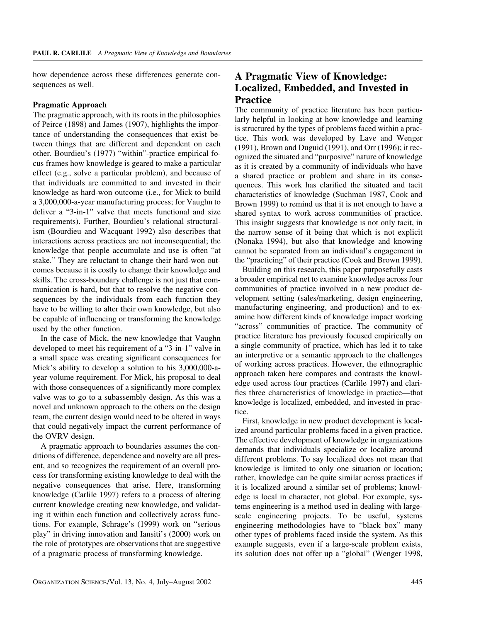how dependence across these differences generate consequences as well.

#### **Pragmatic Approach**

The pragmatic approach, with its roots in the philosophies of Peirce (1898) and James (1907), highlights the importance of understanding the consequences that exist between things that are different and dependent on each other. Bourdieu's (1977) "within"-practice empirical focus frames how knowledge is geared to make a particular effect (e.g., solve a particular problem), and because of that individuals are committed to and invested in their knowledge as hard-won outcome (i.e., for Mick to build a 3,000,000-a-year manufacturing process; for Vaughn to deliver a "3-in-1" valve that meets functional and size requirements). Further, Bourdieu's relational structuralism (Bourdieu and Wacquant 1992) also describes that interactions across practices are not inconsequential; the knowledge that people accumulate and use is often "at stake." They are reluctant to change their hard-won outcomes because it is costly to change their knowledge and skills. The cross-boundary challenge is not just that communication is hard, but that to resolve the negative consequences by the individuals from each function they have to be willing to alter their own knowledge, but also be capable of influencing or transforming the knowledge used by the other function.

In the case of Mick, the new knowledge that Vaughn developed to meet his requirement of a "3-in-1" valve in a small space was creating significant consequences for Mick's ability to develop a solution to his 3,000,000-ayear volume requirement. For Mick, his proposal to deal with those consequences of a significantly more complex valve was to go to a subassembly design. As this was a novel and unknown approach to the others on the design team, the current design would need to be altered in ways that could negatively impact the current performance of the OVRV design.

A pragmatic approach to boundaries assumes the conditions of difference, dependence and novelty are all present, and so recognizes the requirement of an overall process for transforming existing knowledge to deal with the negative consequences that arise. Here, transforming knowledge (Carlile 1997) refers to a process of altering current knowledge creating new knowledge, and validating it within each function and collectively across functions. For example, Schrage's (1999) work on "serious play" in driving innovation and Iansiti's (2000) work on the role of prototypes are observations that are suggestive of a pragmatic process of transforming knowledge.

# **A Pragmatic View of Knowledge: Localized, Embedded, and Invested in Practice**

The community of practice literature has been particularly helpful in looking at how knowledge and learning is structured by the types of problems faced within a practice. This work was developed by Lave and Wenger (1991), Brown and Duguid (1991), and Orr (1996); it recognized the situated and "purposive" nature of knowledge as it is created by a community of individuals who have a shared practice or problem and share in its consequences. This work has clarified the situated and tacit characteristics of knowledge (Suchman 1987, Cook and Brown 1999) to remind us that it is not enough to have a shared syntax to work across communities of practice. This insight suggests that knowledge is not only tacit, in the narrow sense of it being that which is not explicit (Nonaka 1994), but also that knowledge and knowing cannot be separated from an individual's engagement in the "practicing" of their practice (Cook and Brown 1999).

Building on this research, this paper purposefully casts a broader empirical net to examine knowledge across four communities of practice involved in a new product development setting (sales/marketing, design engineering, manufacturing engineering, and production) and to examine how different kinds of knowledge impact working "across" communities of practice. The community of practice literature has previously focused empirically on a single community of practice, which has led it to take an interpretive or a semantic approach to the challenges of working across practices. However, the ethnographic approach taken here compares and contrasts the knowledge used across four practices (Carlile 1997) and clarifies three characteristics of knowledge in practice—that knowledge is localized, embedded, and invested in practice.

First, knowledge in new product development is localized around particular problems faced in a given practice. The effective development of knowledge in organizations demands that individuals specialize or localize around different problems. To say localized does not mean that knowledge is limited to only one situation or location; rather, knowledge can be quite similar across practices if it is localized around a similar set of problems; knowledge is local in character, not global. For example, systems engineering is a method used in dealing with largescale engineering projects. To be useful, systems engineering methodologies have to "black box" many other types of problems faced inside the system. As this example suggests, even if a large-scale problem exists, its solution does not offer up a "global" (Wenger 1998,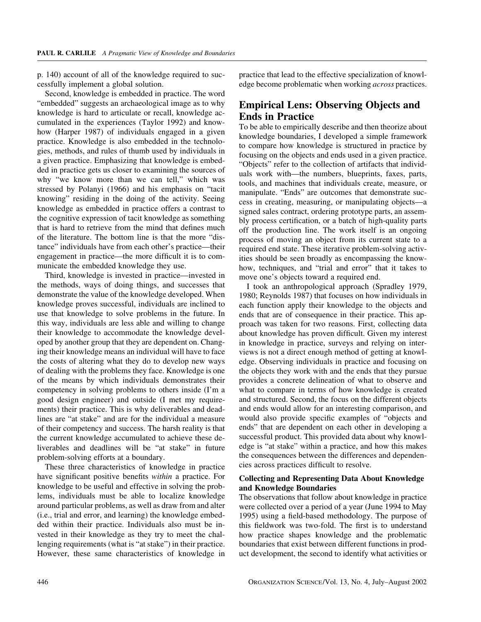p. 140) account of all of the knowledge required to successfully implement a global solution.

Second, knowledge is embedded in practice. The word "embedded" suggests an archaeological image as to why knowledge is hard to articulate or recall, knowledge accumulated in the experiences (Taylor 1992) and knowhow (Harper 1987) of individuals engaged in a given practice. Knowledge is also embedded in the technologies, methods, and rules of thumb used by individuals in a given practice. Emphasizing that knowledge is embedded in practice gets us closer to examining the sources of why "we know more than we can tell," which was stressed by Polanyi (1966) and his emphasis on "tacit knowing" residing in the doing of the activity. Seeing knowledge as embedded in practice offers a contrast to the cognitive expression of tacit knowledge as something that is hard to retrieve from the mind that defines much of the literature. The bottom line is that the more "distance" individuals have from each other's practice—their engagement in practice—the more difficult it is to communicate the embedded knowledge they use.

Third, knowledge is invested in practice—invested in the methods, ways of doing things, and successes that demonstrate the value of the knowledge developed. When knowledge proves successful, individuals are inclined to use that knowledge to solve problems in the future. In this way, individuals are less able and willing to change their knowledge to accommodate the knowledge developed by another group that they are dependent on. Changing their knowledge means an individual will have to face the costs of altering what they do to develop new ways of dealing with the problems they face. Knowledge is one of the means by which individuals demonstrates their competency in solving problems to others inside (I'm a good design engineer) and outside (I met my requirements) their practice. This is why deliverables and deadlines are "at stake" and are for the individual a measure of their competency and success. The harsh reality is that the current knowledge accumulated to achieve these deliverables and deadlines will be "at stake" in future problem-solving efforts at a boundary.

These three characteristics of knowledge in practice have significant positive benefits *within* a practice. For knowledge to be useful and effective in solving the problems, individuals must be able to localize knowledge around particular problems, as well as draw from and alter (i.e., trial and error, and learning) the knowledge embedded within their practice. Individuals also must be invested in their knowledge as they try to meet the challenging requirements (what is "at stake") in their practice. However, these same characteristics of knowledge in

practice that lead to the effective specialization of knowledge become problematic when working *across* practices.

## **Empirical Lens: Observing Objects and Ends in Practice**

To be able to empirically describe and then theorize about knowledge boundaries, I developed a simple framework to compare how knowledge is structured in practice by focusing on the objects and ends used in a given practice. "Objects" refer to the collection of artifacts that individuals work with—the numbers, blueprints, faxes, parts, tools, and machines that individuals create, measure, or manipulate. "Ends" are outcomes that demonstrate success in creating, measuring, or manipulating objects—a signed sales contract, ordering prototype parts, an assembly process certification, or a batch of high-quality parts off the production line. The work itself is an ongoing process of moving an object from its current state to a required end state. These iterative problem-solving activities should be seen broadly as encompassing the knowhow, techniques, and "trial and error" that it takes to move one's objects toward a required end.

I took an anthropological approach (Spradley 1979, 1980; Reynolds 1987) that focuses on how individuals in each function apply their knowledge to the objects and ends that are of consequence in their practice. This approach was taken for two reasons. First, collecting data about knowledge has proven difficult. Given my interest in knowledge in practice, surveys and relying on interviews is not a direct enough method of getting at knowledge. Observing individuals in practice and focusing on the objects they work with and the ends that they pursue provides a concrete delineation of what to observe and what to compare in terms of how knowledge is created and structured. Second, the focus on the different objects and ends would allow for an interesting comparison, and would also provide specific examples of "objects and ends" that are dependent on each other in developing a successful product. This provided data about why knowledge is "at stake" within a practice, and how this makes the consequences between the differences and dependencies across practices difficult to resolve.

#### **Collecting and Representing Data About Knowledge and Knowledge Boundaries**

The observations that follow about knowledge in practice were collected over a period of a year (June 1994 to May 1995) using a field-based methodology. The purpose of this fieldwork was two-fold. The first is to understand how practice shapes knowledge and the problematic boundaries that exist between different functions in product development, the second to identify what activities or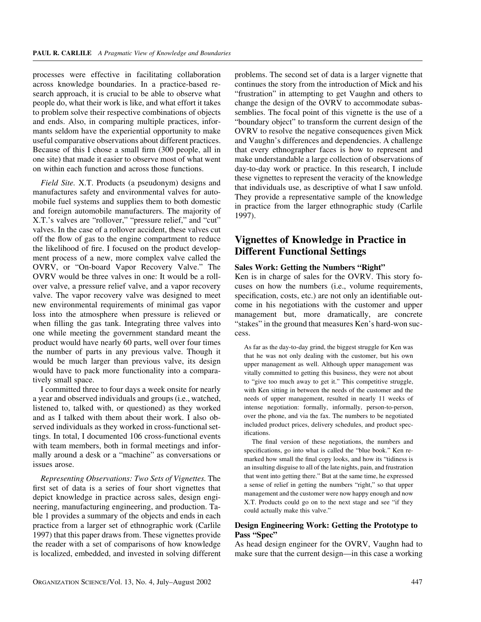processes were effective in facilitating collaboration across knowledge boundaries. In a practice-based research approach, it is crucial to be able to observe what people do, what their work is like, and what effort it takes to problem solve their respective combinations of objects and ends. Also, in comparing multiple practices, informants seldom have the experiential opportunity to make useful comparative observations about different practices. Because of this I chose a small firm (300 people, all in one site) that made it easier to observe most of what went on within each function and across those functions.

*Field Site.* X.T. Products (a pseudonym) designs and manufactures safety and environmental valves for automobile fuel systems and supplies them to both domestic and foreign automobile manufacturers. The majority of X.T.'s valves are "rollover," "pressure relief," and "cut" valves. In the case of a rollover accident, these valves cut off the flow of gas to the engine compartment to reduce the likelihood of fire. I focused on the product development process of a new, more complex valve called the OVRV, or "On-board Vapor Recovery Valve." The OVRV would be three valves in one: It would be a rollover valve, a pressure relief valve, and a vapor recovery valve. The vapor recovery valve was designed to meet new environmental requirements of minimal gas vapor loss into the atmosphere when pressure is relieved or when filling the gas tank. Integrating three valves into one while meeting the government standard meant the product would have nearly 60 parts, well over four times the number of parts in any previous valve. Though it would be much larger than previous valve, its design would have to pack more functionality into a comparatively small space.

I committed three to four days a week onsite for nearly a year and observed individuals and groups (i.e., watched, listened to, talked with, or questioned) as they worked and as I talked with them about their work. I also observed individuals as they worked in cross-functional settings. In total, I documented 106 cross-functional events with team members, both in formal meetings and informally around a desk or a "machine" as conversations or issues arose.

*Representing Observations: Two Sets of Vignettes.* The first set of data is a series of four short vignettes that depict knowledge in practice across sales, design engineering, manufacturing engineering, and production. Table 1 provides a summary of the objects and ends in each practice from a larger set of ethnographic work (Carlile 1997) that this paper draws from. These vignettes provide the reader with a set of comparisons of how knowledge is localized, embedded, and invested in solving different

problems. The second set of data is a larger vignette that continues the story from the introduction of Mick and his "frustration" in attempting to get Vaughn and others to change the design of the OVRV to accommodate subassemblies. The focal point of this vignette is the use of a "boundary object" to transform the current design of the OVRV to resolve the negative consequences given Mick and Vaughn's differences and dependencies. A challenge that every ethnographer faces is how to represent and make understandable a large collection of observations of day-to-day work or practice. In this research, I include these vignettes to represent the veracity of the knowledge that individuals use, as descriptive of what I saw unfold. They provide a representative sample of the knowledge in practice from the larger ethnographic study (Carlile 1997).

## **Vignettes of Knowledge in Practice in Different Functional Settings**

#### **Sales Work: Getting the Numbers "Right"**

Ken is in charge of sales for the OVRV. This story focuses on how the numbers (i.e., volume requirements, specification, costs, etc.) are not only an identifiable outcome in his negotiations with the customer and upper management but, more dramatically, are concrete "stakes" in the ground that measures Ken's hard-won success.

As far as the day-to-day grind, the biggest struggle for Ken was that he was not only dealing with the customer, but his own upper management as well. Although upper management was vitally committed to getting this business, they were not about to "give too much away to get it." This competitive struggle, with Ken sitting in between the needs of the customer and the needs of upper management, resulted in nearly 11 weeks of intense negotiation: formally, informally, person-to-person, over the phone, and via the fax. The numbers to be negotiated included product prices, delivery schedules, and product specifications.

The final version of these negotiations, the numbers and specifications, go into what is called the "blue book." Ken remarked how small the final copy looks, and how its "tidiness is an insulting disguise to all of the late nights, pain, and frustration that went into getting there." But at the same time, he expressed a sense of relief in getting the numbers "right," so that upper management and the customer were now happy enough and now X.T. Products could go on to the next stage and see "if they could actually make this valve."

#### **Design Engineering Work: Getting the Prototype to Pass "Spec"**

As head design engineer for the OVRV, Vaughn had to make sure that the current design—in this case a working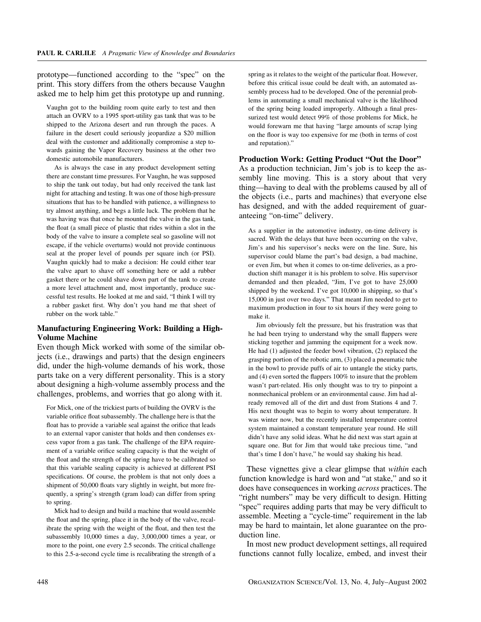prototype—functioned according to the "spec" on the print. This story differs from the others because Vaughn asked me to help him get this prototype up and running.

Vaughn got to the building room quite early to test and then attach an OVRV to a 1995 sport-utility gas tank that was to be shipped to the Arizona desert and run through the paces. A failure in the desert could seriously jeopardize a \$20 million deal with the customer and additionally compromise a step towards gaining the Vapor Recovery business at the other two domestic automobile manufacturers.

As is always the case in any product development setting there are constant time pressures. For Vaughn, he was supposed to ship the tank out today, but had only received the tank last night for attaching and testing. It was one of those high-pressure situations that has to be handled with patience, a willingness to try almost anything, and begs a little luck. The problem that he was having was that once he mounted the valve in the gas tank, the float (a small piece of plastic that rides within a slot in the body of the valve to insure a complete seal so gasoline will not escape, if the vehicle overturns) would not provide continuous seal at the proper level of pounds per square inch (or PSI). Vaughn quickly had to make a decision: He could either tear the valve apart to shave off something here or add a rubber gasket there or he could shave down part of the tank to create a more level attachment and, most importantly, produce successful test results. He looked at me and said, "I think I will try a rubber gasket first. Why don't you hand me that sheet of rubber on the work table."

#### **Manufacturing Engineering Work: Building a High-Volume Machine**

Even though Mick worked with some of the similar objects (i.e., drawings and parts) that the design engineers did, under the high-volume demands of his work, those parts take on a very different personality. This is a story about designing a high-volume assembly process and the challenges, problems, and worries that go along with it.

For Mick, one of the trickiest parts of building the OVRV is the variable orifice float subassembly. The challenge here is that the float has to provide a variable seal against the orifice that leads to an external vapor canister that holds and then condenses excess vapor from a gas tank. The challenge of the EPA requirement of a variable orifice sealing capacity is that the weight of the float and the strength of the spring have to be calibrated so that this variable sealing capacity is achieved at different PSI specifications. Of course, the problem is that not only does a shipment of 50,000 floats vary slightly in weight, but more frequently, a spring's strength (gram load) can differ from spring to spring.

Mick had to design and build a machine that would assemble the float and the spring, place it in the body of the valve, recalibrate the spring with the weight of the float, and then test the subassembly 10,000 times a day, 3,000,000 times a year, or more to the point, one every 2.5 seconds. The critical challenge to this 2.5-a-second cycle time is recalibrating the strength of a spring as it relates to the weight of the particular float. However, before this critical issue could be dealt with, an automated assembly process had to be developed. One of the perennial problems in automating a small mechanical valve is the likelihood of the spring being loaded improperly. Although a final pressurized test would detect 99% of those problems for Mick, he would forewarn me that having "large amounts of scrap lying on the floor is way too expensive for me (both in terms of cost and reputation)."

#### **Production Work: Getting Product "Out the Door"**

As a production technician, Jim's job is to keep the assembly line moving. This is a story about that very thing—having to deal with the problems caused by all of the objects (i.e., parts and machines) that everyone else has designed, and with the added requirement of guaranteeing "on-time" delivery.

As a supplier in the automotive industry, on-time delivery is sacred. With the delays that have been occurring on the valve, Jim's and his supervisor's necks were on the line. Sure, his supervisor could blame the part's bad design, a bad machine, or even Jim, but when it comes to on-time deliveries, as a production shift manager it is his problem to solve. His supervisor demanded and then pleaded, "Jim, I've got to have 25,000 shipped by the weekend. I've got 10,000 in shipping, so that's 15,000 in just over two days." That meant Jim needed to get to maximum production in four to six hours if they were going to make it.

Jim obviously felt the pressure, but his frustration was that he had been trying to understand why the small flappers were sticking together and jamming the equipment for a week now. He had (1) adjusted the feeder bowl vibration, (2) replaced the grasping portion of the robotic arm, (3) placed a pneumatic tube in the bowl to provide puffs of air to untangle the sticky parts, and (4) even sorted the flappers 100% to insure that the problem wasn't part-related. His only thought was to try to pinpoint a nonmechanical problem or an environmental cause. Jim had already removed all of the dirt and dust from Stations 4 and 7. His next thought was to begin to worry about temperature. It was winter now, but the recently installed temperature control system maintained a constant temperature year round. He still didn't have any solid ideas. What he did next was start again at square one. But for Jim that would take precious time, "and that's time I don't have," he would say shaking his head.

These vignettes give a clear glimpse that *within* each function knowledge is hard won and "at stake," and so it does have consequences in working *across* practices. The "right numbers" may be very difficult to design. Hitting "spec" requires adding parts that may be very difficult to assemble. Meeting a "cycle-time" requirement in the lab may be hard to maintain, let alone guarantee on the production line.

In most new product development settings, all required functions cannot fully localize, embed, and invest their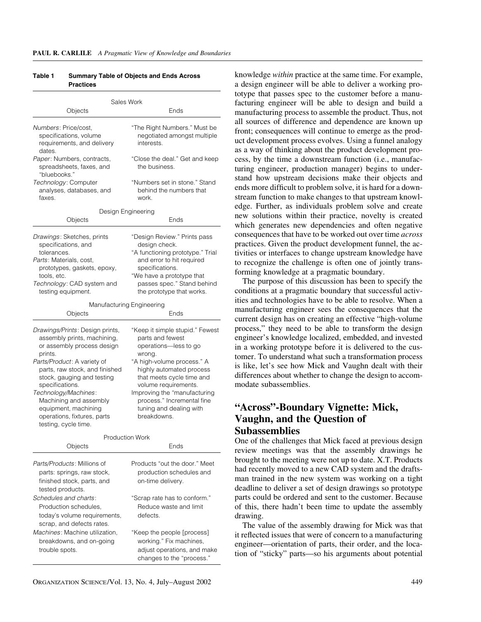| Table 1 | <b>Summary Table of Objects and Ends Across</b> |
|---------|-------------------------------------------------|
|         | <b>Practices</b>                                |

|                                                                                                                                                                                                                                                                                                                                                            | Sales Work                                                                                                                                                                                                                                                                                                    |
|------------------------------------------------------------------------------------------------------------------------------------------------------------------------------------------------------------------------------------------------------------------------------------------------------------------------------------------------------------|---------------------------------------------------------------------------------------------------------------------------------------------------------------------------------------------------------------------------------------------------------------------------------------------------------------|
| Objects                                                                                                                                                                                                                                                                                                                                                    | Ends                                                                                                                                                                                                                                                                                                          |
| <i>Numbers</i> : Price/cost,<br>specifications, volume<br>requirements, and delivery<br>dates.                                                                                                                                                                                                                                                             | "The Right Numbers." Must be<br>negotiated amongst multiple<br>interests.                                                                                                                                                                                                                                     |
| Paper: Numbers, contracts,<br>spreadsheets, faxes, and<br>"bluebooks."                                                                                                                                                                                                                                                                                     | "Close the deal." Get and keep<br>the business.                                                                                                                                                                                                                                                               |
| Technology: Computer<br>analyses, databases, and<br>faxes.                                                                                                                                                                                                                                                                                                 | "Numbers set in stone." Stand<br>behind the numbers that<br>work.                                                                                                                                                                                                                                             |
|                                                                                                                                                                                                                                                                                                                                                            | Design Engineering                                                                                                                                                                                                                                                                                            |
| Objects                                                                                                                                                                                                                                                                                                                                                    | Ends                                                                                                                                                                                                                                                                                                          |
| Drawings: Sketches, prints<br>specifications, and<br>tolerances.<br>Parts: Materials, cost,<br>prototypes, gaskets, epoxy,<br>tools, etc.<br>Technology: CAD system and<br>testing equipment.                                                                                                                                                              | "Design Review." Prints pass<br>design check.<br>"A functioning prototype." Trial<br>and error to hit required<br>specifications.<br>"We have a prototype that<br>passes spec." Stand behind<br>the prototype that works.                                                                                     |
|                                                                                                                                                                                                                                                                                                                                                            | Manufacturing Engineering                                                                                                                                                                                                                                                                                     |
| Objects                                                                                                                                                                                                                                                                                                                                                    | <b>Fnds</b>                                                                                                                                                                                                                                                                                                   |
| Drawings/Prints: Design prints,<br>assembly prints, machining,<br>or assembly process design<br>prints.<br>Parts/Product: A variety of<br>parts, raw stock, and finished<br>stock, gauging and testing<br>specifications.<br>Technology/Machines:<br>Machining and assembly<br>equipment, machining<br>operations, fixtures, parts<br>testing, cycle time. | "Keep it simple stupid." Fewest<br>parts and fewest<br>operations-less to go<br>wrong.<br>"A high-volume process." A<br>highly automated process<br>that meets cycle time and<br>volume requirements.<br>Improving the "manufacturing<br>process." Incremental fine<br>tuning and dealing with<br>breakdowns. |
|                                                                                                                                                                                                                                                                                                                                                            | <b>Production Work</b>                                                                                                                                                                                                                                                                                        |
| Objects                                                                                                                                                                                                                                                                                                                                                    | Ends                                                                                                                                                                                                                                                                                                          |
| <i>Parts/Products:</i> Millions of<br>parts: springs, raw stock,<br>finished stock, parts, and                                                                                                                                                                                                                                                             | Products "out the door." Meet<br>production schedules and<br>on-time delivery.                                                                                                                                                                                                                                |
| tested products.<br>Schedules and charts:<br>Production schedules,<br>today's volume requirements,<br>scrap, and defects rates.                                                                                                                                                                                                                            | "Scrap rate has to conform."<br>Reduce waste and limit<br>defects.                                                                                                                                                                                                                                            |
| Machines: Machine utilization,                                                                                                                                                                                                                                                                                                                             | "Keep the people [process]                                                                                                                                                                                                                                                                                    |

a design engineer will be able to deliver a working prototype that passes spec to the customer before a manufacturing engineer will be able to design and build a manufacturing process to assemble the product. Thus, not all sources of difference and dependence are known up front; consequences will continue to emerge as the product development process evolves. Using a funnel analogy as a way of thinking about the product development process, by the time a downstream function (i.e., manufacturing engineer, production manager) begins to understand how upstream decisions make their objects and ends more difficult to problem solve, it is hard for a downstream function to make changes to that upstream knowledge. Further, as individuals problem solve and create new solutions within their practice, novelty is created which generates new dependencies and often negative consequences that have to be worked out over time *across* practices. Given the product development funnel, the activities or interfaces to change upstream knowledge have

knowledge *within* practice at the same time. For example,

forming knowledge at a pragmatic boundary. The purpose of this discussion has been to specify the conditions at a pragmatic boundary that successful activities and technologies have to be able to resolve. When a manufacturing engineer sees the consequences that the current design has on creating an effective "high-volume process," they need to be able to transform the design engineer's knowledge localized, embedded, and invested in a working prototype before it is delivered to the customer. To understand what such a transformation process is like, let's see how Mick and Vaughn dealt with their differences about whether to change the design to accommodate subassemblies.

to recognize the challenge is often one of jointly trans-

## **"Across"-Boundary Vignette: Mick, Vaughn, and the Question of Subassemblies**

One of the challenges that Mick faced at previous design review meetings was that the assembly drawings he brought to the meeting were not up to date. X.T. Products had recently moved to a new CAD system and the draftsman trained in the new system was working on a tight deadline to deliver a set of design drawings so prototype parts could be ordered and sent to the customer. Because of this, there hadn't been time to update the assembly drawing.

The value of the assembly drawing for Mick was that it reflected issues that were of concern to a manufacturing engineer—orientation of parts, their order, and the location of "sticky" parts—so his arguments about potential

working." Fix machines, adjust operations, and make changes to the "process."

breakdowns, and on-going

trouble spots.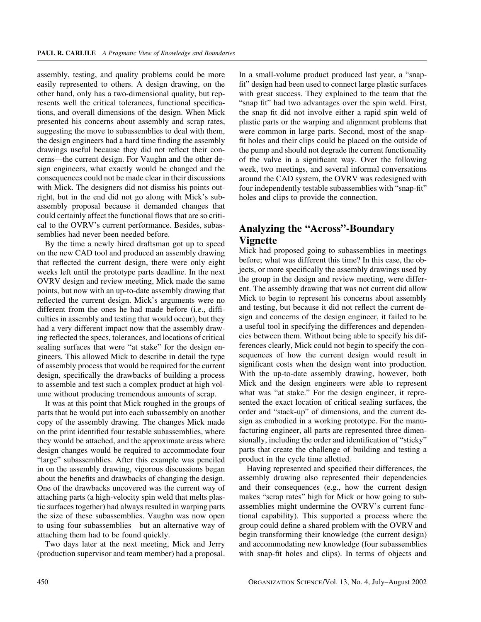assembly, testing, and quality problems could be more easily represented to others. A design drawing, on the other hand, only has a two-dimensional quality, but represents well the critical tolerances, functional specifications, and overall dimensions of the design. When Mick presented his concerns about assembly and scrap rates, suggesting the move to subassemblies to deal with them, the design engineers had a hard time finding the assembly drawings useful because they did not reflect their concerns—the current design. For Vaughn and the other design engineers, what exactly would be changed and the consequences could not be made clear in their discussions with Mick. The designers did not dismiss his points outright, but in the end did not go along with Mick's subassembly proposal because it demanded changes that could certainly affect the functional flows that are so critical to the OVRV's current performance. Besides, subassemblies had never been needed before.

By the time a newly hired draftsman got up to speed on the new CAD tool and produced an assembly drawing that reflected the current design, there were only eight weeks left until the prototype parts deadline. In the next OVRV design and review meeting, Mick made the same points, but now with an up-to-date assembly drawing that reflected the current design. Mick's arguments were no different from the ones he had made before (i.e., difficulties in assembly and testing that would occur), but they had a very different impact now that the assembly drawing reflected the specs, tolerances, and locations of critical sealing surfaces that were "at stake" for the design engineers. This allowed Mick to describe in detail the type of assembly process that would be required for the current design, specifically the drawbacks of building a process to assemble and test such a complex product at high volume without producing tremendous amounts of scrap.

It was at this point that Mick roughed in the groups of parts that he would put into each subassembly on another copy of the assembly drawing. The changes Mick made on the print identified four testable subassemblies, where they would be attached, and the approximate areas where design changes would be required to accommodate four "large" subassemblies. After this example was penciled in on the assembly drawing, vigorous discussions began about the benefits and drawbacks of changing the design. One of the drawbacks uncovered was the current way of attaching parts (a high-velocity spin weld that melts plastic surfaces together) had always resulted in warping parts the size of these subassemblies. Vaughn was now open to using four subassemblies—but an alternative way of attaching them had to be found quickly.

Two days later at the next meeting, Mick and Jerry (production supervisor and team member) had a proposal. In a small-volume product produced last year, a "snapfit" design had been used to connect large plastic surfaces with great success. They explained to the team that the "snap fit" had two advantages over the spin weld. First, the snap fit did not involve either a rapid spin weld of plastic parts or the warping and alignment problems that were common in large parts. Second, most of the snapfit holes and their clips could be placed on the outside of the pump and should not degrade the current functionality of the valve in a significant way. Over the following week, two meetings, and several informal conversations around the CAD system, the OVRV was redesigned with four independently testable subassemblies with "snap-fit" holes and clips to provide the connection.

## **Analyzing the "Across"-Boundary Vignette**

Mick had proposed going to subassemblies in meetings before; what was different this time? In this case, the objects, or more specifically the assembly drawings used by the group in the design and review meeting, were different. The assembly drawing that was not current did allow Mick to begin to represent his concerns about assembly and testing, but because it did not reflect the current design and concerns of the design engineer, it failed to be a useful tool in specifying the differences and dependencies between them. Without being able to specify his differences clearly, Mick could not begin to specify the consequences of how the current design would result in significant costs when the design went into production. With the up-to-date assembly drawing, however, both Mick and the design engineers were able to represent what was "at stake." For the design engineer, it represented the exact location of critical sealing surfaces, the order and "stack-up" of dimensions, and the current design as embodied in a working prototype. For the manufacturing engineer, all parts are represented three dimensionally, including the order and identification of "sticky" parts that create the challenge of building and testing a product in the cycle time allotted.

Having represented and specified their differences, the assembly drawing also represented their dependencies and their consequences (e.g., how the current design makes "scrap rates" high for Mick or how going to subassemblies might undermine the OVRV's current functional capability). This supported a process where the group could define a shared problem with the OVRV and begin transforming their knowledge (the current design) and accommodating new knowledge (four subassemblies with snap-fit holes and clips). In terms of objects and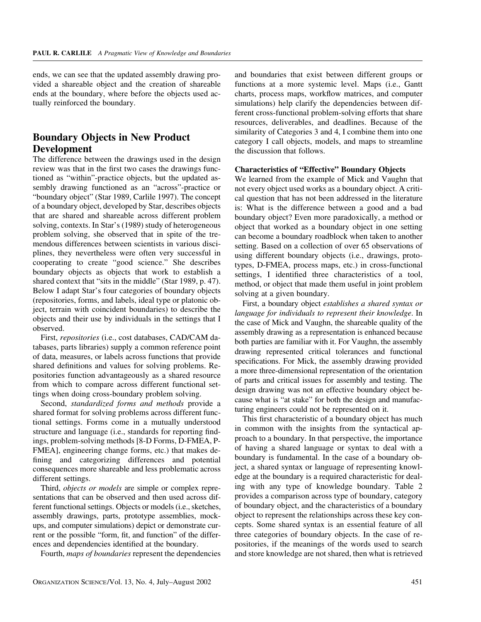ends, we can see that the updated assembly drawing provided a shareable object and the creation of shareable ends at the boundary, where before the objects used actually reinforced the boundary.

## **Boundary Objects in New Product Development**

The difference between the drawings used in the design review was that in the first two cases the drawings functioned as "within"-practice objects, but the updated assembly drawing functioned as an "across"-practice or "boundary object" (Star 1989, Carlile 1997). The concept of a boundary object, developed by Star, describes objects that are shared and shareable across different problem solving, contexts. In Star's (1989) study of heterogeneous problem solving, she observed that in spite of the tremendous differences between scientists in various disciplines, they nevertheless were often very successful in cooperating to create "good science." She describes boundary objects as objects that work to establish a shared context that "sits in the middle" (Star 1989, p. 47). Below I adapt Star's four categories of boundary objects (repositories, forms, and labels, ideal type or platonic object, terrain with coincident boundaries) to describe the objects and their use by individuals in the settings that I observed.

First, *repositories* (i.e., cost databases, CAD/CAM databases, parts libraries) supply a common reference point of data, measures, or labels across functions that provide shared definitions and values for solving problems. Repositories function advantageously as a shared resource from which to compare across different functional settings when doing cross-boundary problem solving.

Second, *standardized forms and methods* provide a shared format for solving problems across different functional settings. Forms come in a mutually understood structure and language (i.e., standards for reporting findings, problem-solving methods [8-D Forms, D-FMEA, P-FMEA], engineering change forms, etc.) that makes defining and categorizing differences and potential consequences more shareable and less problematic across different settings.

Third, *objects or models* are simple or complex representations that can be observed and then used across different functional settings. Objects or models (i.e., sketches, assembly drawings, parts, prototype assemblies, mockups, and computer simulations) depict or demonstrate current or the possible "form, fit, and function" of the differences and dependencies identified at the boundary.

Fourth, *maps of boundaries* represent the dependencies

and boundaries that exist between different groups or functions at a more systemic level. Maps (i.e., Gantt charts, process maps, workflow matrices, and computer simulations) help clarify the dependencies between different cross-functional problem-solving efforts that share resources, deliverables, and deadlines. Because of the similarity of Categories 3 and 4, I combine them into one category I call objects, models, and maps to streamline the discussion that follows.

#### **Characteristics of "Effective" Boundary Objects**

We learned from the example of Mick and Vaughn that not every object used works as a boundary object. A critical question that has not been addressed in the literature is: What is the difference between a good and a bad boundary object? Even more paradoxically, a method or object that worked as a boundary object in one setting can become a boundary roadblock when taken to another setting. Based on a collection of over 65 observations of using different boundary objects (i.e., drawings, prototypes, D-FMEA, process maps, etc.) in cross-functional settings, I identified three characteristics of a tool, method, or object that made them useful in joint problem solving at a given boundary.

First, a boundary object *establishes a shared syntax or language for individuals to represent their knowledge*. In the case of Mick and Vaughn, the shareable quality of the assembly drawing as a representation is enhanced because both parties are familiar with it. For Vaughn, the assembly drawing represented critical tolerances and functional specifications. For Mick, the assembly drawing provided a more three-dimensional representation of the orientation of parts and critical issues for assembly and testing. The design drawing was not an effective boundary object because what is "at stake" for both the design and manufacturing engineers could not be represented on it.

This first characteristic of a boundary object has much in common with the insights from the syntactical approach to a boundary. In that perspective, the importance of having a shared language or syntax to deal with a boundary is fundamental. In the case of a boundary object, a shared syntax or language of representing knowledge at the boundary is a required characteristic for dealing with any type of knowledge boundary. Table 2 provides a comparison across type of boundary, category of boundary object, and the characteristics of a boundary object to represent the relationships across these key concepts. Some shared syntax is an essential feature of all three categories of boundary objects. In the case of repositories, if the meanings of the words used to search and store knowledge are not shared, then what is retrieved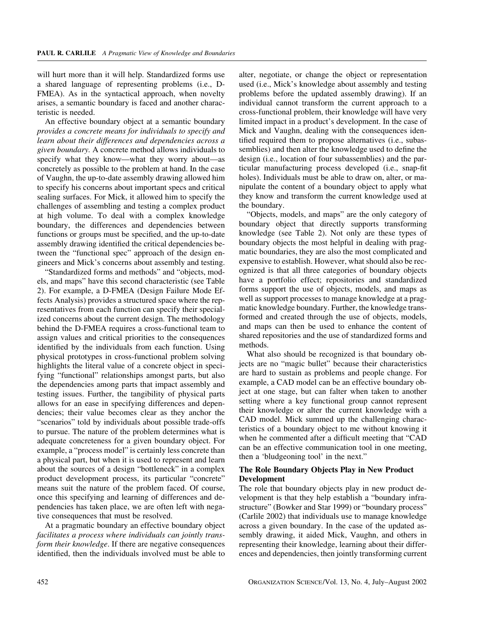will hurt more than it will help. Standardized forms use a shared language of representing problems (i.e., D-FMEA). As in the syntactical approach, when novelty arises, a semantic boundary is faced and another characteristic is needed.

An effective boundary object at a semantic boundary *provides a concrete means for individuals to specify and learn about their differences and dependencies across a given boundary.* A concrete method allows individuals to specify what they know—what they worry about—as concretely as possible to the problem at hand. In the case of Vaughn, the up-to-date assembly drawing allowed him to specify his concerns about important specs and critical sealing surfaces. For Mick, it allowed him to specify the challenges of assembling and testing a complex product at high volume. To deal with a complex knowledge boundary, the differences and dependencies between functions or groups must be specified, and the up-to-date assembly drawing identified the critical dependencies between the "functional spec" approach of the design engineers and Mick's concerns about assembly and testing.

"Standardized forms and methods" and "objects, models, and maps" have this second characteristic (see Table 2). For example, a D-FMEA (Design Failure Mode Effects Analysis) provides a structured space where the representatives from each function can specify their specialized concerns about the current design. The methodology behind the D-FMEA requires a cross-functional team to assign values and critical priorities to the consequences identified by the individuals from each function. Using physical prototypes in cross-functional problem solving highlights the literal value of a concrete object in specifying "functional" relationships amongst parts, but also the dependencies among parts that impact assembly and testing issues. Further, the tangibility of physical parts allows for an ease in specifying differences and dependencies; their value becomes clear as they anchor the "scenarios" told by individuals about possible trade-offs to pursue. The nature of the problem determines what is adequate concreteness for a given boundary object. For example, a "process model" is certainly less concrete than a physical part, but when it is used to represent and learn about the sources of a design "bottleneck" in a complex product development process, its particular "concrete" means suit the nature of the problem faced. Of course, once this specifying and learning of differences and dependencies has taken place, we are often left with negative consequences that must be resolved.

At a pragmatic boundary an effective boundary object *facilitates a process where individuals can jointly transform their knowledge*. If there are negative consequences identified, then the individuals involved must be able to

alter, negotiate, or change the object or representation used (i.e., Mick's knowledge about assembly and testing problems before the updated assembly drawing). If an individual cannot transform the current approach to a cross-functional problem, their knowledge will have very limited impact in a product's development. In the case of Mick and Vaughn, dealing with the consequences identified required them to propose alternatives (i.e., subassemblies) and then alter the knowledge used to define the design (i.e., location of four subassemblies) and the particular manufacturing process developed (i.e., snap-fit holes). Individuals must be able to draw on, alter, or manipulate the content of a boundary object to apply what they know and transform the current knowledge used at the boundary.

"Objects, models, and maps" are the only category of boundary object that directly supports transforming knowledge (see Table 2). Not only are these types of boundary objects the most helpful in dealing with pragmatic boundaries, they are also the most complicated and expensive to establish. However, what should also be recognized is that all three categories of boundary objects have a portfolio effect; repositories and standardized forms support the use of objects, models, and maps as well as support processes to manage knowledge at a pragmatic knowledge boundary. Further, the knowledge transformed and created through the use of objects, models, and maps can then be used to enhance the content of shared repositories and the use of standardized forms and methods.

What also should be recognized is that boundary objects are no "magic bullet" because their characteristics are hard to sustain as problems and people change. For example, a CAD model can be an effective boundary object at one stage, but can falter when taken to another setting where a key functional group cannot represent their knowledge or alter the current knowledge with a CAD model. Mick summed up the challenging characteristics of a boundary object to me without knowing it when he commented after a difficult meeting that "CAD can be an effective communication tool in one meeting, then a 'bludgeoning tool' in the next."

#### **The Role Boundary Objects Play in New Product Development**

The role that boundary objects play in new product development is that they help establish a "boundary infrastructure" (Bowker and Star 1999) or "boundary process" (Carlile 2002) that individuals use to manage knowledge across a given boundary. In the case of the updated assembly drawing, it aided Mick, Vaughn, and others in representing their knowledge, learning about their differences and dependencies, then jointly transforming current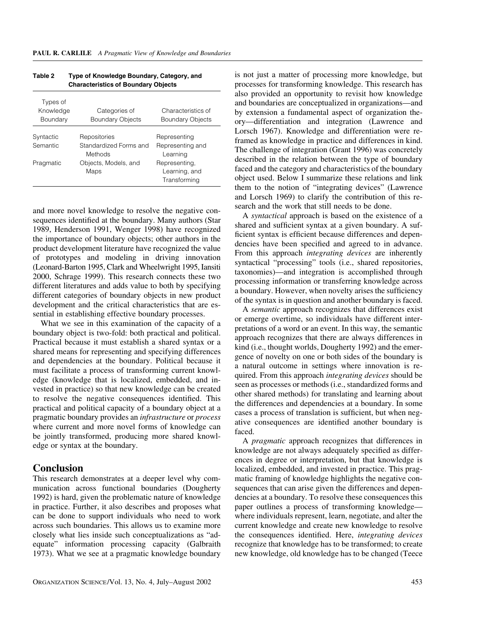| Types of<br>Knowledge<br>Boundary | Categories of<br><b>Boundary Objects</b> | Characteristics of<br><b>Boundary Objects</b>  |
|-----------------------------------|------------------------------------------|------------------------------------------------|
| Syntactic                         | Repositories                             | Representing                                   |
| Semantic                          | Standardized Forms and<br>Methods        | Representing and<br>Learning                   |
| Pragmatic                         | Objects, Models, and<br>Maps             | Representing,<br>Learning, and<br>Transforming |

| Table 2 | Type of Knowledge Boundary, Category, and  |
|---------|--------------------------------------------|
|         | <b>Characteristics of Boundary Objects</b> |

and more novel knowledge to resolve the negative consequences identified at the boundary. Many authors (Star 1989, Henderson 1991, Wenger 1998) have recognized the importance of boundary objects; other authors in the product development literature have recognized the value of prototypes and modeling in driving innovation (Leonard-Barton 1995, Clark and Wheelwright 1995, Iansiti 2000, Schrage 1999). This research connects these two different literatures and adds value to both by specifying different categories of boundary objects in new product development and the critical characteristics that are essential in establishing effective boundary processes.

What we see in this examination of the capacity of a boundary object is two-fold: both practical and political. Practical because it must establish a shared syntax or a shared means for representing and specifying differences and dependencies at the boundary. Political because it must facilitate a process of transforming current knowledge (knowledge that is localized, embedded, and invested in practice) so that new knowledge can be created to resolve the negative consequences identified. This practical and political capacity of a boundary object at a pragmatic boundary provides an *infrastructure* or *process* where current and more novel forms of knowledge can be jointly transformed, producing more shared knowledge or syntax at the boundary.

## **Conclusion**

This research demonstrates at a deeper level why communication across functional boundaries (Dougherty 1992) is hard, given the problematic nature of knowledge in practice. Further, it also describes and proposes what can be done to support individuals who need to work across such boundaries. This allows us to examine more closely what lies inside such conceptualizations as "adequate" information processing capacity (Galbraith 1973). What we see at a pragmatic knowledge boundary is not just a matter of processing more knowledge, but processes for transforming knowledge. This research has also provided an opportunity to revisit how knowledge and boundaries are conceptualized in organizations—and by extension a fundamental aspect of organization theory—differentiation and integration (Lawrence and Lorsch 1967). Knowledge and differentiation were reframed as knowledge in practice and differences in kind. The challenge of integration (Grant 1996) was concretely described in the relation between the type of boundary faced and the category and characteristics of the boundary object used. Below I summarize these relations and link them to the notion of "integrating devices" (Lawrence and Lorsch 1969) to clarify the contribution of this research and the work that still needs to be done.

A *syntactical* approach is based on the existence of a shared and sufficient syntax at a given boundary. A sufficient syntax is efficient because differences and dependencies have been specified and agreed to in advance. From this approach *integrating devices* are inherently syntactical "processing" tools (i.e., shared repositories, taxonomies)—and integration is accomplished through processing information or transferring knowledge across a boundary. However, when novelty arises the sufficiency of the syntax is in question and another boundary is faced.

A *semantic* approach recognizes that differences exist or emerge overtime, so individuals have different interpretations of a word or an event. In this way, the semantic approach recognizes that there are always differences in kind (i.e., thought worlds, Dougherty 1992) and the emergence of novelty on one or both sides of the boundary is a natural outcome in settings where innovation is required. From this approach *integrating devices* should be seen as processes or methods (i.e., standardized forms and other shared methods) for translating and learning about the differences and dependencies at a boundary. In some cases a process of translation is sufficient, but when negative consequences are identified another boundary is faced.

A *pragmatic* approach recognizes that differences in knowledge are not always adequately specified as differences in degree or interpretation, but that knowledge is localized, embedded, and invested in practice. This pragmatic framing of knowledge highlights the negative consequences that can arise given the differences and dependencies at a boundary. To resolve these consequences this paper outlines a process of transforming knowledge where individuals represent, learn, negotiate, and alter the current knowledge and create new knowledge to resolve the consequences identified. Here, *integrating devices* recognize that knowledge has to be transformed; to create new knowledge, old knowledge has to be changed (Teece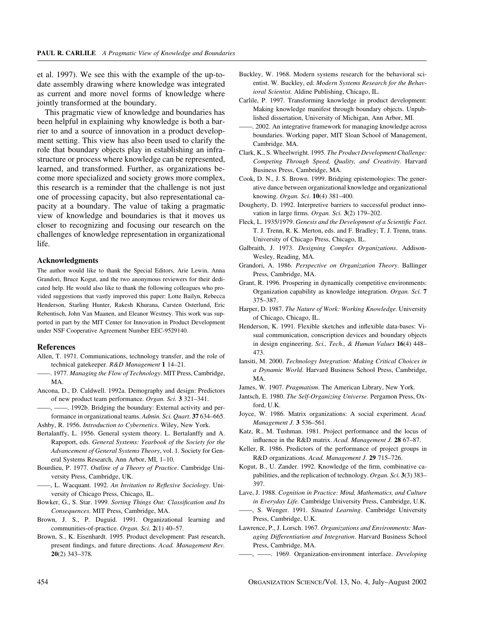et al. 1997). We see this with the example of the up-todate assembly drawing where knowledge was integrated as current and more novel forms of knowledge where jointly transformed at the boundary.

This pragmatic view of knowledge and boundaries has been helpful in explaining why knowledge is both a barrier to and a source of innovation in a product development setting. This view has also been used to clarify the role that boundary objects play in establishing an infrastructure or process where knowledge can be represented, learned, and transformed. Further, as organizations become more specialized and society grows more complex, this research is a reminder that the challenge is not just one of processing capacity, but also representational capacity at a boundary. The value of taking a pragmatic view of knowledge and boundaries is that it moves us closer to recognizing and focusing our research on the challenges of knowledge representation in organizational life.

#### **Acknowledgments**

The author would like to thank the Special Editors, Arie Lewin, Anna Grandori, Bruce Kogut, and the two anonymous reviewers for their dedicated help. He would also like to thank the following colleagues who provided suggestions that vastly improved this paper: Lotte Bailyn, Rebecca Henderson, Starling Hunter, Rakesh Khurana, Carsten Osterlund, Eric Rebentisch, John Van Maanen, and Eleanor Westney. This work was supported in part by the MIT Center for Innovation in Product Development under NSF Cooperative Agreement Number EEC-9529140.

#### **References**

- Allen, T. 1971. Communications, technology transfer, and the role of technical gatekeeper. *R&D Management* **1** 14–21.
- ——. 1977. *Managing the Flow of Technology*. MIT Press, Cambridge, MA.
- Ancona, D., D. Caldwell. 1992a. Demography and design: Predictors of new product team performance. *Organ. Sci.* **3** 321–341.

——, ——. 1992b. Bridging the boundary: External activity and performance in organizational teams. *Admin. Sci. Quart.* **37** 634–665. Ashby, R. 1956. *Introduction to Cybernetics*. Wiley, New York.

- Bertalanffy, L. 1956. General system theory. L. Bertalanffy and A. Rapoport, eds. *General Systems: Yearbook of the Society for the Advancement of General Systems Theory*, vol. 1. Society for General Systems Research, Ann Arbor, MI, 1–10.
- Bourdieu, P. 1977. *Outline of a Theory of Practice*. Cambridge University Press, Cambridge, UK.
- ——, L. Wacquant. 1992. *An Invitation to Reflexive Sociology*. University of Chicago Press, Chicago, IL.
- Bowker, G., S. Star. 1999. *Sorting Things Out: Classification and Its Consequences*. MIT Press, Cambridge, MA.
- Brown, J. S., P. Duguid. 1991. Organizational learning and communities-of-practice. *Organ. Sci.* **2**(1) 40–57.
- Brown, S., K. Eisenhardt. 1995. Product development: Past research, present findings, and future directions. *Acad. Management Rev.* **20**(2) 343–378.
- Buckley, W. 1968. Modern systems research for the behavioral scientist. W. Buckley, ed. *Modern Systems Research for the Behavioral Scientist.* Aldine Publishing, Chicago, IL.
- Carlile, P. 1997. Transforming knowledge in product development: Making knowledge manifest through boundary objects. Unpublished dissertation, University of Michigan, Ann Arbor, MI.
- ——. 2002. An integrative framework for managing knowledge across boundaries. Working paper, MIT Sloan School of Management, Cambridge. MA.
- Clark, K., S. Wheelwright. 1995*. The Product Development Challenge: Competing Through Speed, Quality, and Creativity*. Harvard Business Press, Cambridge, MA.
- Cook, D. N., J. S. Brown. 1999. Bridging epistemologies: The generative dance between organizational knowledge and organizational knowing. *Organ. Sci.* **10**(4) 381–400.
- Dougherty, D. 1992. Interpretive barriers to successful product innovation in large firms. *Organ. Sci.* **3**(2) 179–202.
- Fleck, L. 1935/1979. *Genesis and the Development of a Scientific Fact*. T. J. Trenn, R. K. Merton, eds. and F. Bradley; T. J. Trenn, trans. University of Chicago Press, Chicago, IL.
- Galbraith, J. 1973. *Designing Complex Organizations*. Addison-Wesley, Reading, MA.
- Grandori, A. 1986. *Perspective on Organization Theory*. Ballinger Press, Cambridge, MA.
- Grant, R. 1996. Prospering in dynamically competitive environments: Organization capability as knowledge integration. *Organ. Sci.* **7** 375–387.
- Harper, D. 1987. *The Nature of Work: Working Knowledge*. University of Chicago, Chicago, IL.
- Henderson, K. 1991. Flexible sketches and inflexible data-bases: Visual communication, conscription devices and boundary objects in design engineering. *Sci., Tech., & Human Values* **16**(4) 448– 473.
- Iansiti, M. 2000. *Technology Integration: Making Critical Choices in a Dynamic World*. Harvard Business School Press, Cambridge, MA.
- James, W. 1907. *Pragmatism*. The American Library, New York.
- Jantsch, E. 1980. *The Self-Organizing Universe*. Pergamon Press, Oxford, U.K.
- Joyce, W. 1986. Matrix organizations: A social experiment. *Acad. Management J.* **3** 536–561.
- Katz, R., M. Tushman. 1981. Project performance and the locus of influence in the R&D matrix. *Acad. Management J.* **28** 67–87.
- Keller, R. 1986. Predictors of the performance of project groups in R&D organizations. *Acad. Management J.* **29** 715–726.
- Kogut, B., U. Zander. 1992. Knowledge of the firm, combinative capabilities, and the replication of technology. *Organ. Sci.* **3**(3) 383– 397.
- Lave, J. 1988. *Cognition in Practice: Mind, Mathematics, and Culture in Everyday Life.* Cambridge University Press, Cambridge, U.K.
- ——, S. Wenger. 1991. *Situated Learning*. Cambridge University Press, Cambridge, U.K.
- Lawrence, P., J. Lorsch. 1967*. Organizations and Environments: Managing Differentiation and Integration*. Harvard Business School Press, Cambridge, MA.
	- ——, ——. 1969. Organization-environment interface. *Developing*